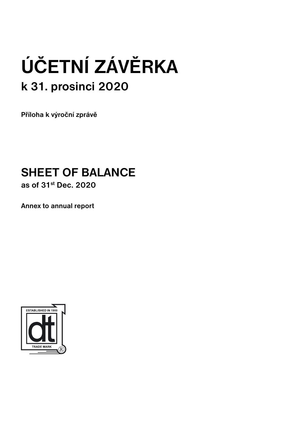# **ÚČETNÍ ZÁVĚRKA k 31. prosinci 2020**

**Příloha k výroční zprávě**

# **SHEET OF BALANCE**

**as of 31st Dec. 2020**

**Annex to annual report**

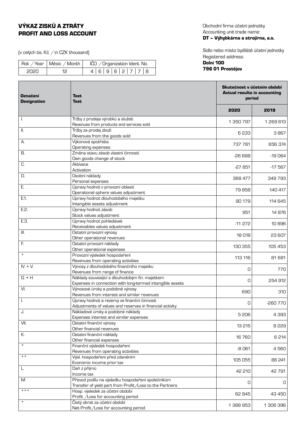# VÝKAZ ZISKŮ A ZTRÁTY PROFIT AND LOSS ACCOUNT

(v celých tis. Kč  $\neq$  in CZK thousand)

|      | Rok / Year   Měsíc / Month | IČO / Organization Ident. No. |
|------|----------------------------|-------------------------------|
| 2020 |                            | 4 6 9 6 2 7 7 8               |

Obchodní firma účetní jednotky Accounting unit trade name: DT – Výhybkárna a strojírna, a.s.

Sídlo nebo místo bydliště účetní jednotky Registered address: Dolní 100

# 796 01 Prostějov

| <b>Označení</b><br><b>Designation</b> | <b>Text</b><br>Text                                                         |           | Skutečnost v účetním období<br><b>Actual results in accounting</b><br>period |  |
|---------------------------------------|-----------------------------------------------------------------------------|-----------|------------------------------------------------------------------------------|--|
|                                       |                                                                             | 2020      | 2019                                                                         |  |
| I.                                    | Tržby z prodeje výrobků a služeb                                            | 1 350 797 | 1 269 613                                                                    |  |
|                                       | Revenues from products and services sold                                    |           |                                                                              |  |
| Ш.                                    | Tržby za prodej zboží<br>Revenues from the goods sold                       | 6 233     | 3 867                                                                        |  |
| А.                                    | Výkonová spotřeba                                                           |           |                                                                              |  |
|                                       | Operating expenses                                                          | 737 781   | 656 374                                                                      |  |
| В.                                    | Změna stavu zásob vlastní činnosti                                          | $-26668$  | $-19064$                                                                     |  |
|                                       | Own goods change of stock                                                   |           |                                                                              |  |
| C.                                    | Aktivace                                                                    | $-27851$  | $-17567$                                                                     |  |
|                                       | Activation                                                                  |           |                                                                              |  |
| D.                                    | Osobní náklady                                                              | 368 477   | 349793                                                                       |  |
|                                       | Personal expenses                                                           |           |                                                                              |  |
| Ε.                                    | Úpravy hodnot v provozní oblasti<br>Operational sphere values adjustment    | 79858     | 140 417                                                                      |  |
| E.1.                                  | Úpravy hodnot dlouhodobého majetku                                          |           |                                                                              |  |
|                                       | Intangible assets adjustment                                                | 90 179    | 114 645                                                                      |  |
| E.2.                                  | Úpravy hodnot zásob                                                         |           |                                                                              |  |
|                                       | Stock values adjustment                                                     | 951       | 14876                                                                        |  |
| E.3.                                  | Úpravy hodnot pohledávek                                                    | $-11272$  | 10896                                                                        |  |
|                                       | Receivables values adjustment                                               |           |                                                                              |  |
| III.                                  | Ostatní provozní výnosy                                                     | 18018     | 23 607                                                                       |  |
|                                       | Other operational revenues                                                  |           |                                                                              |  |
| F.                                    | Ostatní provozní náklady                                                    | 130 355   | 105 453                                                                      |  |
| $\star$                               | Other operational expenses<br>Provozní výsledek hospodaření                 |           |                                                                              |  |
|                                       | Revenues from operating activities                                          | 113 116   | 81 681                                                                       |  |
| $IV. + V.$                            | Výnosy z dlouhodobého finančního majetku                                    |           |                                                                              |  |
|                                       | Revenues from range of finance                                              | 0         | 770                                                                          |  |
| $G. + H$                              | Náklady související s dlouhodobým fin. majetkem                             |           |                                                                              |  |
|                                       | Expenses in connection with long-termed intangible assets                   | 0         | 254 912                                                                      |  |
| VI.                                   | Výnosové úroky a podobné výnosy                                             | 690       | 310                                                                          |  |
|                                       | Revenues from interest and similar revenues                                 |           |                                                                              |  |
| I.                                    | Úpravy hodnot a rezervy ve finanční činnosti                                | 0         | $-260770$                                                                    |  |
|                                       | Adjustments of values and reserves in financial activity                    |           |                                                                              |  |
| J.                                    | Nákladové úroky a podobné náklady<br>Expenses interest and similar expenses | 5 206     | 4 3 9 3                                                                      |  |
| VII.                                  | Ostatní finanční výnosy                                                     |           |                                                                              |  |
|                                       | Other financial revenues                                                    | 13 215    | 8 2 2 9                                                                      |  |
| К.                                    | Ostatní finanční náklady                                                    |           |                                                                              |  |
|                                       | Other financial expenses                                                    | 16760     | 6214                                                                         |  |
| $\star$                               | Finanční výsledek hospodaření                                               | -8061     | 4560                                                                         |  |
|                                       | Revenues from operating activities                                          |           |                                                                              |  |
| $\star \star$                         | Výsl. hospodaření před zdaněním                                             | 105 055   | 86 241                                                                       |  |
|                                       | Economic income prior tax                                                   |           |                                                                              |  |
| L.                                    | Daň z příjmů<br>Income tax                                                  | 42 210    | 42 791                                                                       |  |
| M.                                    | Převod podílu na výsledku hospodaření společníkům                           |           |                                                                              |  |
|                                       | Transfer of yield part from Profit / Loss to the Partners                   | O         | 0                                                                            |  |
| $***$                                 | Hosp. výsledek za účetní období                                             |           |                                                                              |  |
|                                       | Profit /Loss for accounting period                                          | 62 845    | 43 450                                                                       |  |
| $^\star$                              | Čistý obrat za účetní období                                                | 1 388 953 | 1 306 396                                                                    |  |
|                                       | Net Profit/Loss for accounting period                                       |           |                                                                              |  |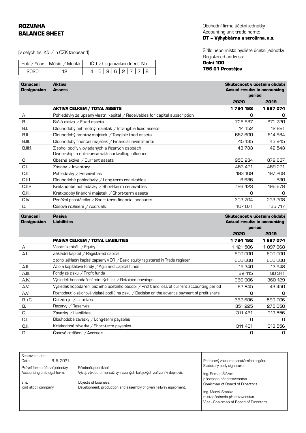# ROZVAHA BALANCE SHEET

(v celých tis. Kč  $\neq$  in CZK thousand)

|       | Rok / Year   Měsíc / Month | IČO / Organization Ident. No. |
|-------|----------------------------|-------------------------------|
| -2020 | 12.                        | 4 6 9 6 2 7 7 8               |

Obchodní firma účetní jednotky Accounting unit trade name: DT – Výhybkárna a strojírna, a.s.

Sídlo nebo místo bydliště účetní jednotky Registered address:

# Dolní 100 796 01 Prostějov

| <b>Označení</b><br><b>Designation</b> | <b>Aktiva</b><br><b>Assets</b>                                                                       |              | Skutečnost v účetním období<br><b>Actual results in accounting</b><br>period |  |
|---------------------------------------|------------------------------------------------------------------------------------------------------|--------------|------------------------------------------------------------------------------|--|
|                                       |                                                                                                      | 2020         | 2019                                                                         |  |
|                                       | <b>AKTIVA CELKEM / TOTAL ASSETS</b>                                                                  | 1784192      | 1 687 074                                                                    |  |
| А                                     | Pohledávky za upsaný vlastní kapitál / Receivables for capital subscription                          | 0            | 0                                                                            |  |
| B                                     | Stálá aktiva / Fixed assets                                                                          | 726887       | 671 720                                                                      |  |
| B.I.                                  | Dlouhodobý nehmotný majetek / Intangible fixed assets                                                | 14 152       | 12891                                                                        |  |
| B.II.                                 | Dlouhodobý hmotný majetek / Tangible fixed assets                                                    | 667 600      | 614 884                                                                      |  |
| B.III.                                | Dlouhodobý finanční majetek / Financial investments                                                  | 45 135       | 43 945                                                                       |  |
| <b>B.III.1.</b>                       | Z toho: podíly v ovládaných a řízených osobách<br>Ownership in enterprise with controlling influence | 43733        | 42 543                                                                       |  |
| C                                     | Oběžná aktiva / Current assets                                                                       | 950 234      | 879 637                                                                      |  |
| C.I.                                  | Zásoby / Inventory                                                                                   | 453 421      | 459 221                                                                      |  |
| C.II.                                 | Pohledávky / Receivables                                                                             | 193 109      | 197 208                                                                      |  |
| C.II.1.                               | Dlouhodobé pohledávky / Long-term receivables                                                        | 6686         | 530                                                                          |  |
| C.I.I.2.                              | Krátkodobé pohledávky / Short-term receivables                                                       | 186 423      | 196 678                                                                      |  |
| C.III.                                | Krátkodobý finanční majetek / Short-term assets                                                      | O            | 0                                                                            |  |
| C.IV.                                 | Peněžní prostředky / Short-term financial accounts                                                   | 303 704      | 223 208                                                                      |  |
| D.                                    | Časové rozlišení / Accruals                                                                          | 107 071      | 135 717                                                                      |  |
| <b>Označení</b>                       | <b>Pasiva</b><br><b>Liabilities</b><br><b>Actual results in accounting</b><br>period                 |              | Skutečnost v účetním období                                                  |  |
| <b>Designation</b>                    |                                                                                                      |              |                                                                              |  |
|                                       |                                                                                                      |              |                                                                              |  |
|                                       |                                                                                                      |              |                                                                              |  |
|                                       |                                                                                                      | 2020         | 2019                                                                         |  |
|                                       | <b>PASIVA CELKEM / TOTAL LIABILITIES</b>                                                             | 1 784 192    | 1687074                                                                      |  |
| А                                     | Vlastní kapitál / Equity                                                                             | 1 121 506    | 1097868                                                                      |  |
| A.I.                                  | Základní kapitál / Registered capital                                                                | 600 000      | 600 000                                                                      |  |
|                                       | z toho: základní kapitál zapsaný v OR / Basic equity registered in Trade register                    | 600 000      | 600 000                                                                      |  |
| A.II.                                 | Ážio a kapitálové fondy / Agio and Capital funds                                                     | 15 340       | 13948                                                                        |  |
| A.III.                                | Fondy ze zisku / Profit funds                                                                        | 82 415       | 80 341                                                                       |  |
| A.IV.                                 | Výsledek hospodaření minulých let / Retained earnings                                                | 360 906      | 360 129                                                                      |  |
| A.V.                                  | Výsledek hopodaření běžného účetního období / Profit and loss of current accounting period           | 62 845       | 43 450                                                                       |  |
| A.VI.                                 | Rozhodnutí o zálohové výplatě podílů na zisku / Decision on the advance payment of profit share      | Ο            | n.                                                                           |  |
| $B.+C.$                               | Cizí zdroje / Liabilities                                                                            | 662 686      | 589 206                                                                      |  |
| В.                                    | Rezervy / Reserves                                                                                   | 351 225      | 275 650                                                                      |  |
| C.                                    | Závazky / Liabilities                                                                                | 311 461<br>O | 313 556<br>0                                                                 |  |
| C.I.<br>C.II.                         | Dlouhodobé závazky / Long-term payables<br>Krátkodobé závazky / Short-term payables                  | 311 461      | 313 556                                                                      |  |

| Sestaveno dne:<br>6.5.2021<br>Date:                          |                                                                                          | Podpisový záznam statutárního orgánu<br>Statutory body signature:<br>Ing. Roman Šlézar<br>předseda představenstva          |  |
|--------------------------------------------------------------|------------------------------------------------------------------------------------------|----------------------------------------------------------------------------------------------------------------------------|--|
| Právní forma účetní jednotky:<br>Accounting unit legal form: | Předmět podnikání:<br>Vývoj, výroba a montáž vyhrazených kolejových zařízení v dopravě.  |                                                                                                                            |  |
| a. s.<br>joint stock company                                 | Objects of business:<br>Development, production and assembly of given railway equipment. | Chairman of Board of Directors<br>Ing. Marek Smolka<br>místopředseda představenstva<br>Vice-Chairman of Board of Directors |  |